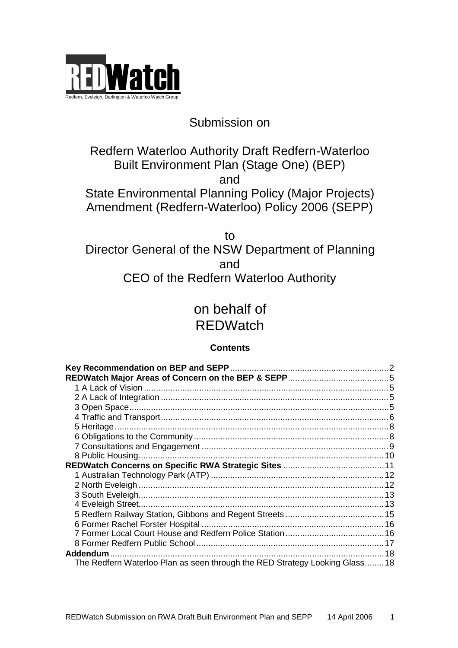

## Submission on

## Redfern Waterloo Authority Draft Redfern-Waterloo Built Environment Plan (Stage One) (BEP) and State Environmental Planning Policy (Major Projects) Amendment (Redfern-Waterloo) Policy 2006 (SEPP)

to Director General of the NSW Department of Planning and CEO of the Redfern Waterloo Authority

# on behalf of **REDWatch**

### **Contents**

| Addendum<br>The Redfern Waterloo Plan as seen through the RED Strategy Looking Glass18 |
|----------------------------------------------------------------------------------------|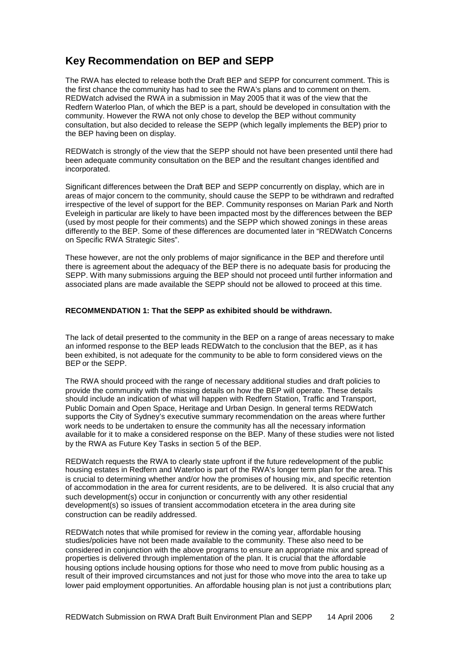### **Key Recommendation on BEP and SEPP**

The RWA has elected to release both the Draft BEP and SEPP for concurrent comment. This is the first chance the community has had to see the RWA's plans and to comment on them. REDWatch advised the RWA in a submission in May 2005 that it was of the view that the Redfern Waterloo Plan, of which the BEP is a part, should be developed in consultation with the community. However the RWA not only chose to develop the BEP without community consultation, but also decided to release the SEPP (which legally implements the BEP) prior to the BEP having been on display.

REDWatch is strongly of the view that the SEPP should not have been presented until there had been adequate community consultation on the BEP and the resultant changes identified and incorporated.

Significant differences between the Draft BEP and SEPP concurrently on display, which are in areas of major concern to the community, should cause the SEPP to be withdrawn and redrafted irrespective of the level of support for the BEP. Community responses on Marian Park and North Eveleigh in particular are likely to have been impacted most by the differences between the BEP (used by most people for their comments) and the SEPP which showed zonings in these areas differently to the BEP. Some of these differences are documented later in "REDWatch Concerns on Specific RWA Strategic Sites".

These however, are not the only problems of major significance in the BEP and therefore until there is agreement about the adequacy of the BEP there is no adequate basis for producing the SEPP. With many submissions arguing the BEP should not proceed until further information and associated plans are made available the SEPP should not be allowed to proceed at this time.

#### **RECOMMENDATION 1: That the SEPP as exhibited should be withdrawn.**

The lack of detail presented to the community in the BEP on a range of areas necessary to make an informed response to the BEP leads REDWatch to the conclusion that the BEP, as it has been exhibited, is not adequate for the community to be able to form considered views on the BEP or the SEPP.

The RWA should proceed with the range of necessary additional studies and draft policies to provide the community with the missing details on how the BEP will operate. These details should include an indication of what will happen with Redfern Station, Traffic and Transport, Public Domain and Open Space, Heritage and Urban Design. In general terms REDWatch supports the City of Sydney's executive summary recommendation on the areas where further work needs to be undertaken to ensure the community has all the necessary information available for it to make a considered response on the BEP. Many of these studies were not listed by the RWA as Future Key Tasks in section 5 of the BEP.

REDWatch requests the RWA to clearly state upfront if the future redevelopment of the public housing estates in Redfern and Waterloo is part of the RWA's longer term plan for the area. This is crucial to determining whether and/or how the promises of housing mix, and specific retention of accommodation in the area for current residents, are to be delivered. It is also crucial that any such development(s) occur in conjunction or concurrently with any other residential development(s) so issues of transient accommodation etcetera in the area during site construction can be readily addressed.

REDWatch notes that while promised for review in the coming year, affordable housing studies/policies have not been made available to the community. These also need to be considered in conjunction with the above programs to ensure an appropriate mix and spread of properties is delivered through implementation of the plan. It is crucial that the affordable housing options include housing options for those who need to move from public housing as a result of their improved circumstances and not just for those who move into the area to take up lower paid employment opportunities. An affordable housing plan is not just a contributions plan;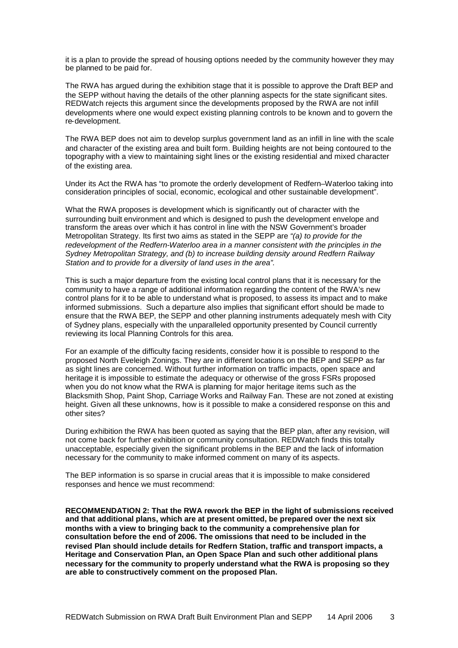it is a plan to provide the spread of housing options needed by the community however they may be planned to be paid for.

The RWA has argued during the exhibition stage that it is possible to approve the Draft BEP and the SEPP without having the details of the other planning aspects for the state significant sites. REDWatch rejects this argument since the developments proposed by the RWA are not infill developments where one would expect existing planning controls to be known and to govern the re-development.

The RWA BEP does not aim to develop surplus government land as an infill in line with the scale and character of the existing area and built form. Building heights are not being contoured to the topography with a view to maintaining sight lines or the existing residential and mixed character of the existing area.

Under its Act the RWA has "to promote the orderly development of Redfern–Waterloo taking into consideration principles of social, economic, ecological and other sustainable development".

What the RWA proposes is development which is significantly out of character with the surrounding built environment and which is designed to push the development envelope and transform the areas over which it has control in line with the NSW Government's broader Metropolitan Strategy. Its first two aims as stated in the SEPP are *"(a) to provide for the redevelopment of the Redfern-Waterloo area in a manner consistent with the principles in the Sydney Metropolitan Strategy, and (b) to increase building density around Redfern Railway Station and to provide for a diversity of land uses in the area".*

This is such a major departure from the existing local control plans that it is necessary for the community to have a range of additional information regarding the content of the RWA's new control plans for it to be able to understand what is proposed, to assess its impact and to make informed submissions. Such a departure also implies that significant effort should be made to ensure that the RWA BEP, the SEPP and other planning instruments adequately mesh with City of Sydney plans, especially with the unparalleled opportunity presented by Council currently reviewing its local Planning Controls for this area.

For an example of the difficulty facing residents, consider how it is possible to respond to the proposed North Eveleigh Zonings. They are in different locations on the BEP and SEPP as far as sight lines are concerned. Without further information on traffic impacts, open space and heritage it is impossible to estimate the adequacy or otherwise of the gross FSRs proposed when you do not know what the RWA is planning for major heritage items such as the Blacksmith Shop, Paint Shop, Carriage Works and Railway Fan. These are not zoned at existing height. Given all these unknowns, how is it possible to make a considered response on this and other sites?

During exhibition the RWA has been quoted as saying that the BEP plan, after any revision, will not come back for further exhibition or community consultation. REDWatch finds this totally unacceptable, especially given the significant problems in the BEP and the lack of information necessary for the community to make informed comment on many of its aspects.

The BEP information is so sparse in crucial areas that it is impossible to make considered responses and hence we must recommend:

**RECOMMENDATION 2: That the RWA rework the BEP in the light of submissions received and that additional plans, which are at present omitted, be prepared over the next six months with a view to bringing back to the community a comprehensive plan for consultation before the end of 2006. The omissions that need to be included in the revised Plan should include details for Redfern Station, traffic and transport impacts, a Heritage and Conservation Plan, an Open Space Plan and such other additional plans necessary for the community to properly understand what the RWA is proposing so they are able to constructively comment on the proposed Plan.**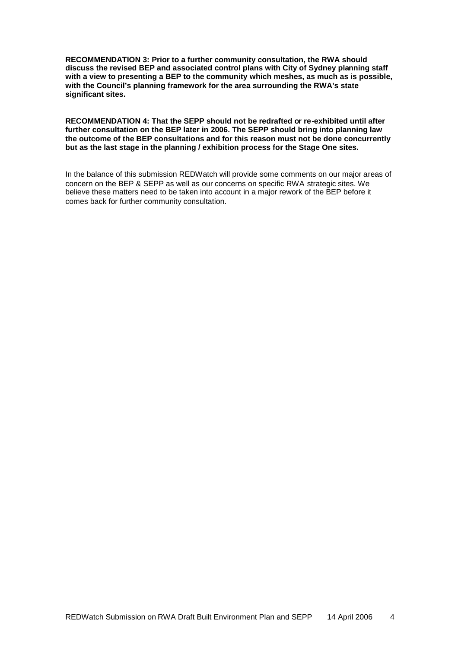**RECOMMENDATION 3: Prior to a further community consultation, the RWA should discuss the revised BEP and associated control plans with City of Sydney planning staff with a view to presenting a BEP to the community which meshes, as much as is possible, with the Council's planning framework for the area surrounding the RWA's state significant sites.**

**RECOMMENDATION 4: That the SEPP should not be redrafted or re-exhibited until after further consultation on the BEP later in 2006. The SEPP should bring into planning law the outcome of the BEP consultations and for this reason must not be done concurrently but as the last stage in the planning / exhibition process for the Stage One sites.**

In the balance of this submission REDWatch will provide some comments on our major areas of concern on the BEP & SEPP as well as our concerns on specific RWA strategic sites. We believe these matters need to be taken into account in a major rework of the BEP before it comes back for further community consultation.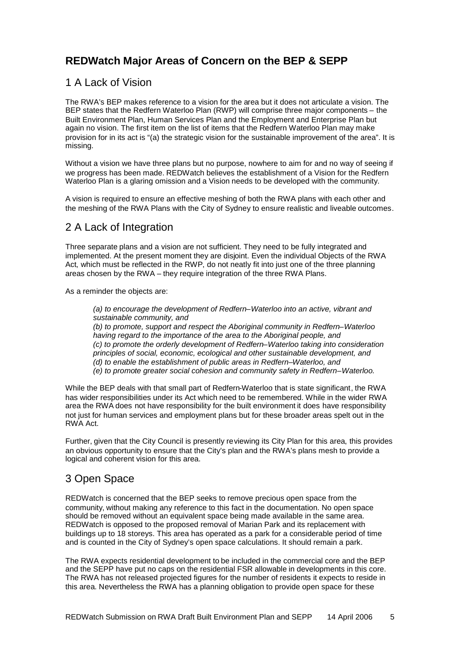### **REDWatch Major Areas of Concern on the BEP & SEPP**

#### 1 A Lack of Vision

The RWA's BEP makes reference to a vision for the area but it does not articulate a vision. The BEP states that the Redfern Waterloo Plan (RWP) will comprise three major components – the Built Environment Plan, Human Services Plan and the Employment and Enterprise Plan but again no vision. The first item on the list of items that the Redfern Waterloo Plan may make provision for in its act is "(a) the strategic vision for the sustainable improvement of the area". It is missing.

Without a vision we have three plans but no purpose, nowhere to aim for and no way of seeing if we progress has been made. REDWatch believes the establishment of a Vision for the Redfern Waterloo Plan is a glaring omission and a Vision needs to be developed with the community.

A vision is required to ensure an effective meshing of both the RWA plans with each other and the meshing of the RWA Plans with the City of Sydney to ensure realistic and liveable outcomes.

#### 2 A Lack of Integration

Three separate plans and a vision are not sufficient. They need to be fully integrated and implemented. At the present moment they are disjoint. Even the individual Objects of the RWA Act, which must be reflected in the RWP, do not neatly fit into just one of the three planning areas chosen by the RWA – they require integration of the three RWA Plans.

As a reminder the objects are:

*(a) to encourage the development of Redfern–Waterloo into an active, vibrant and sustainable community, and (b) to promote, support and respect the Aboriginal community in Redfern–Waterloo having regard to the importance of the area to the Aboriginal people, and (c) to promote the orderly development of Redfern–Waterloo taking into consideration principles of social, economic, ecological and other sustainable development, and (d) to enable the establishment of public areas in Redfern–Waterloo, and (e) to promote greater social cohesion and community safety in Redfern–Waterloo.*

While the BEP deals with that small part of Redfern-Waterloo that is state significant, the RWA has wider responsibilities under its Act which need to be remembered. While in the wider RWA area the RWA does not have responsibility for the built environment it does have responsibility not just for human services and employment plans but for these broader areas spelt out in the RWA Act.

Further, given that the City Council is presently reviewing its City Plan for this area, this provides an obvious opportunity to ensure that the City's plan and the RWA's plans mesh to provide a logical and coherent vision for this area.

### 3 Open Space

REDWatch is concerned that the BEP seeks to remove precious open space from the community, without making any reference to this fact in the documentation. No open space should be removed without an equivalent space being made available in the same area. REDWatch is opposed to the proposed removal of Marian Park and its replacement with buildings up to 18 storeys. This area has operated as a park for a considerable period of time and is counted in the City of Sydney's open space calculations. It should remain a park.

The RWA expects residential development to be included in the commercial core and the BEP and the SEPP have put no caps on the residential FSR allowable in developments in this core. The RWA has not released projected figures for the number of residents it expects to reside in this area. Nevertheless the RWA has a planning obligation to provide open space for these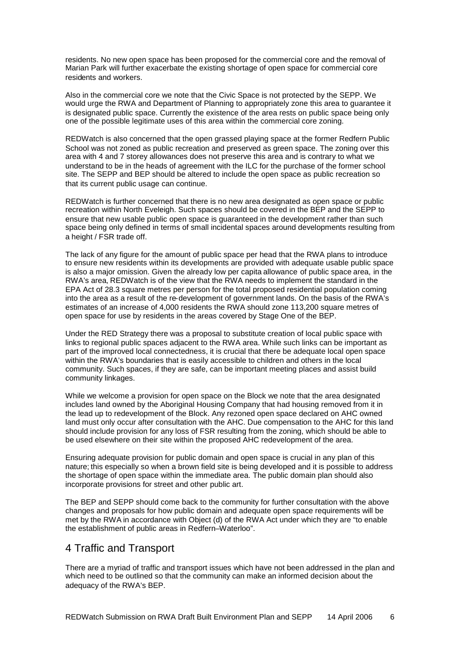residents. No new open space has been proposed for the commercial core and the removal of Marian Park will further exacerbate the existing shortage of open space for commercial core residents and workers.

Also in the commercial core we note that the Civic Space is not protected by the SEPP. We would urge the RWA and Department of Planning to appropriately zone this area to guarantee it is designated public space. Currently the existence of the area rests on public space being only one of the possible legitimate uses of this area within the commercial core zoning.

REDWatch is also concerned that the open grassed playing space at the former Redfern Public School was not zoned as public recreation and preserved as green space. The zoning over this area with 4 and 7 storey allowances does not preserve this area and is contrary to what we understand to be in the heads of agreement with the ILC for the purchase of the former school site. The SEPP and BEP should be altered to include the open space as public recreation so that its current public usage can continue.

REDWatch is further concerned that there is no new area designated as open space or public recreation within North Eveleigh. Such spaces should be covered in the BEP and the SEPP to ensure that new usable public open space is guaranteed in the development rather than such space being only defined in terms of small incidental spaces around developments resulting from a height / FSR trade off.

The lack of any figure for the amount of public space per head that the RWA plans to introduce to ensure new residents within its developments are provided with adequate usable public space is also a major omission. Given the already low per capita allowance of public space area, in the RWA's area, REDWatch is of the view that the RWA needs to implement the standard in the EPA Act of 28.3 square metres per person for the total proposed residential population coming into the area as a result of the re-development of government lands. On the basis of the RWA's estimates of an increase of 4,000 residents the RWA should zone 113,200 square metres of open space for use by residents in the areas covered by Stage One of the BEP.

Under the RED Strategy there was a proposal to substitute creation of local public space with links to regional public spaces adjacent to the RWA area. While such links can be important as part of the improved local connectedness, it is crucial that there be adequate local open space within the RWA's boundaries that is easily accessible to children and others in the local community. Such spaces, if they are safe, can be important meeting places and assist build community linkages.

While we welcome a provision for open space on the Block we note that the area designated includes land owned by the Aboriginal Housing Company that had housing removed from it in the lead up to redevelopment of the Block. Any rezoned open space declared on AHC owned land must only occur after consultation with the AHC. Due compensation to the AHC for this land should include provision for any loss of FSR resulting from the zoning, which should be able to be used elsewhere on their site within the proposed AHC redevelopment of the area.

Ensuring adequate provision for public domain and open space is crucial in any plan of this nature; this especially so when a brown field site is being developed and it is possible to address the shortage of open space within the immediate area. The public domain plan should also incorporate provisions for street and other public art.

The BEP and SEPP should come back to the community for further consultation with the above changes and proposals for how public domain and adequate open space requirements will be met by the RWA in accordance with Object (d) of the RWA Act under which they are "to enable the establishment of public areas in Redfern–Waterloo".

#### 4 Traffic and Transport

There are a myriad of traffic and transport issues which have not been addressed in the plan and which need to be outlined so that the community can make an informed decision about the adequacy of the RWA's BEP.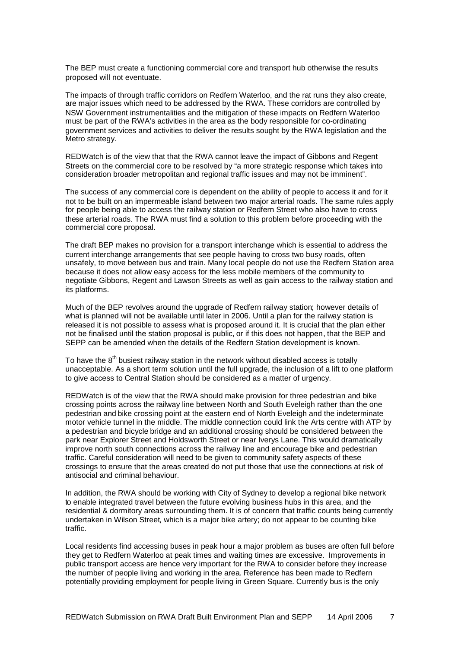The BEP must create a functioning commercial core and transport hub otherwise the results proposed will not eventuate.

The impacts of through traffic corridors on Redfern Waterloo, and the rat runs they also create, are major issues which need to be addressed by the RWA. These corridors are controlled by NSW Government instrumentalities and the mitigation of these impacts on Redfern Waterloo must be part of the RWA's activities in the area as the body responsible for co-ordinating government services and activities to deliver the results sought by the RWA legislation and the Metro strategy.

REDWatch is of the view that that the RWA cannot leave the impact of Gibbons and Regent Streets on the commercial core to be resolved by "a more strategic response which takes into consideration broader metropolitan and regional traffic issues and may not be imminent".

The success of any commercial core is dependent on the ability of people to access it and for it not to be built on an impermeable island between two major arterial roads. The same rules apply for people being able to access the railway station or Redfern Street who also have to cross these arterial roads. The RWA must find a solution to this problem before proceeding with the commercial core proposal.

The draft BEP makes no provision for a transport interchange which is essential to address the current interchange arrangements that see people having to cross two busy roads, often unsafely, to move between bus and train. Many local people do not use the Redfern Station area because it does not allow easy access for the less mobile members of the community to negotiate Gibbons, Regent and Lawson Streets as well as gain access to the railway station and its platforms.

Much of the BEP revolves around the upgrade of Redfern railway station; however details of what is planned will not be available until later in 2006. Until a plan for the railway station is released it is not possible to assess what is proposed around it. It is crucial that the plan either not be finalised until the station proposal is public, or if this does not happen, that the BEP and SEPP can be amended when the details of the Redfern Station development is known.

To have the  $8<sup>th</sup>$  busiest railway station in the network without disabled access is totally unacceptable. As a short term solution until the full upgrade, the inclusion of a lift to one platform to give access to Central Station should be considered as a matter of urgency.

REDWatch is of the view that the RWA should make provision for three pedestrian and bike crossing points across the railway line between North and South Eveleigh rather than the one pedestrian and bike crossing point at the eastern end of North Eveleigh and the indeterminate motor vehicle tunnel in the middle. The middle connection could link the Arts centre with ATP by a pedestrian and bicycle bridge and an additional crossing should be considered between the park near Explorer Street and Holdsworth Street or near Iverys Lane. This would dramatically improve north south connections across the railway line and encourage bike and pedestrian traffic. Careful consideration will need to be given to community safety aspects of these crossings to ensure that the areas created do not put those that use the connections at risk of antisocial and criminal behaviour.

In addition, the RWA should be working with City of Sydney to develop a regional bike network to enable integrated travel between the future evolving business hubs in this area, and the residential & dormitory areas surrounding them. It is of concern that traffic counts being currently undertaken in Wilson Street, which is a major bike artery; do not appear to be counting bike traffic.

Local residents find accessing buses in peak hour a major problem as buses are often full before they get to Redfern Waterloo at peak times and waiting times are excessive. Improvements in public transport access are hence very important for the RWA to consider before they increase the number of people living and working in the area. Reference has been made to Redfern potentially providing employment for people living in Green Square. Currently bus is the only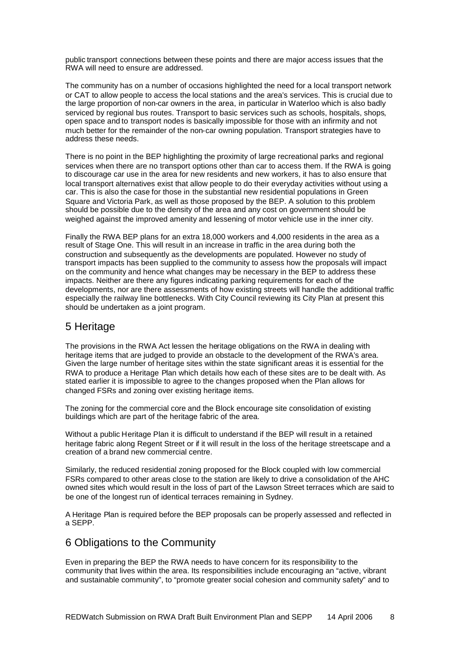public transport connections between these points and there are major access issues that the RWA will need to ensure are addressed.

The community has on a number of occasions highlighted the need for a local transport network or CAT to allow people to access the local stations and the area's services. This is crucial due to the large proportion of non-car owners in the area, in particular in Waterloo which is also badly serviced by regional bus routes. Transport to basic services such as schools, hospitals, shops, open space and to transport nodes is basically impossible for those with an infirmity and not much better for the remainder of the non-car owning population. Transport strategies have to address these needs.

There is no point in the BEP highlighting the proximity of large recreational parks and regional services when there are no transport options other than car to access them. If the RWA is going to discourage car use in the area for new residents and new workers, it has to also ensure that local transport alternatives exist that allow people to do their everyday activities without using a car. This is also the case for those in the substantial new residential populations in Green Square and Victoria Park, as well as those proposed by the BEP. A solution to this problem should be possible due to the density of the area and any cost on government should be weighed against the improved amenity and lessening of motor vehicle use in the inner city.

Finally the RWA BEP plans for an extra 18,000 workers and 4,000 residents in the area as a result of Stage One. This will result in an increase in traffic in the area during both the construction and subsequently as the developments are populated. However no study of transport impacts has been supplied to the community to assess how the proposals will impact on the community and hence what changes may be necessary in the BEP to address these impacts. Neither are there any figures indicating parking requirements for each of the developments, nor are there assessments of how existing streets will handle the additional traffic especially the railway line bottlenecks. With City Council reviewing its City Plan at present this should be undertaken as a joint program.

#### 5 Heritage

The provisions in the RWA Act lessen the heritage obligations on the RWA in dealing with heritage items that are judged to provide an obstacle to the development of the RWA's area. Given the large number of heritage sites within the state significant areas it is essential for the RWA to produce a Heritage Plan which details how each of these sites are to be dealt with. As stated earlier it is impossible to agree to the changes proposed when the Plan allows for changed FSRs and zoning over existing heritage items.

The zoning for the commercial core and the Block encourage site consolidation of existing buildings which are part of the heritage fabric of the area.

Without a public Heritage Plan it is difficult to understand if the BEP will result in a retained heritage fabric along Regent Street or if it will result in the loss of the heritage streetscape and a creation of a brand new commercial centre.

Similarly, the reduced residential zoning proposed for the Block coupled with low commercial FSRs compared to other areas close to the station are likely to drive a consolidation of the AHC owned sites which would result in the loss of part of the Lawson Street terraces which are said to be one of the longest run of identical terraces remaining in Sydney.

A Heritage Plan is required before the BEP proposals can be properly assessed and reflected in a SEPP.

#### 6 Obligations to the Community

Even in preparing the BEP the RWA needs to have concern for its responsibility to the community that lives within the area. Its responsibilities include encouraging an "active, vibrant and sustainable community", to "promote greater social cohesion and community safety" and to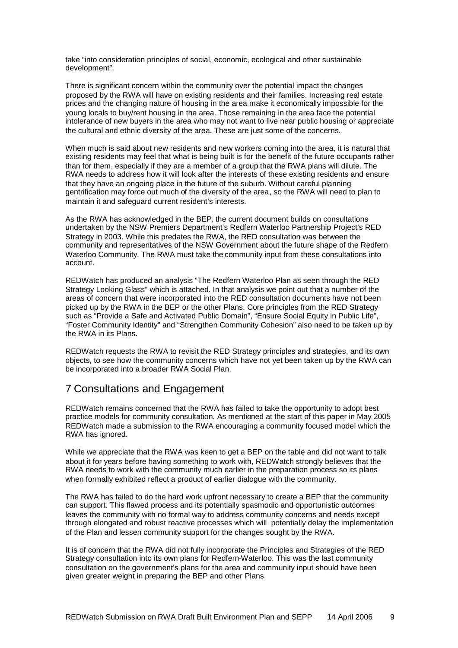take "into consideration principles of social, economic, ecological and other sustainable development".

There is significant concern within the community over the potential impact the changes proposed by the RWA will have on existing residents and their families. Increasing real estate prices and the changing nature of housing in the area make it economically impossible for the young locals to buy/rent housing in the area. Those remaining in the area face the potential intolerance of new buyers in the area who may not want to live near public housing or appreciate the cultural and ethnic diversity of the area. These are just some of the concerns.

When much is said about new residents and new workers coming into the area, it is natural that existing residents may feel that what is being built is for the benefit of the future occupants rather than for them, especially if they are a member of a group that the RWA plans will dilute. The RWA needs to address how it will look after the interests of these existing residents and ensure that they have an ongoing place in the future of the suburb. Without careful planning gentrification may force out much of the diversity of the area, so the RWA will need to plan to maintain it and safeguard current resident's interests.

As the RWA has acknowledged in the BEP, the current document builds on consultations undertaken by the NSW Premiers Department's Redfern Waterloo Partnership Project's RED Strategy in 2003. While this predates the RWA, the RED consultation was between the community and representatives of the NSW Government about the future shape of the Redfern Waterloo Community. The RWA must take the community input from these consultations into account.

REDWatch has produced an analysis "The Redfern Waterloo Plan as seen through the RED Strategy Looking Glass" which is attached. In that analysis we point out that a number of the areas of concern that were incorporated into the RED consultation documents have not been picked up by the RWA in the BEP or the other Plans. Core principles from the RED Strategy such as "Provide a Safe and Activated Public Domain", "Ensure Social Equity in Public Life", "Foster Community Identity" and "Strengthen Community Cohesion" also need to be taken up by the RWA in its Plans.

REDWatch requests the RWA to revisit the RED Strategy principles and strategies, and its own objects, to see how the community concerns which have not yet been taken up by the RWA can be incorporated into a broader RWA Social Plan.

#### 7 Consultations and Engagement

REDWatch remains concerned that the RWA has failed to take the opportunity to adopt best practice models for community consultation. As mentioned at the start of this paper in May 2005 REDWatch made a submission to the RWA encouraging a community focused model which the RWA has ignored.

While we appreciate that the RWA was keen to get a BEP on the table and did not want to talk about it for years before having something to work with, REDWatch strongly believes that the RWA needs to work with the community much earlier in the preparation process so its plans when formally exhibited reflect a product of earlier dialogue with the community.

The RWA has failed to do the hard work upfront necessary to create a BEP that the community can support. This flawed process and its potentially spasmodic and opportunistic outcomes leaves the community with no formal way to address community concerns and needs except through elongated and robust reactive processes which will potentially delay the implementation of the Plan and lessen community support for the changes sought by the RWA.

It is of concern that the RWA did not fully incorporate the Principles and Strategies of the RED Strategy consultation into its own plans for Redfern-Waterloo. This was the last community consultation on the government's plans for the area and community input should have been given greater weight in preparing the BEP and other Plans.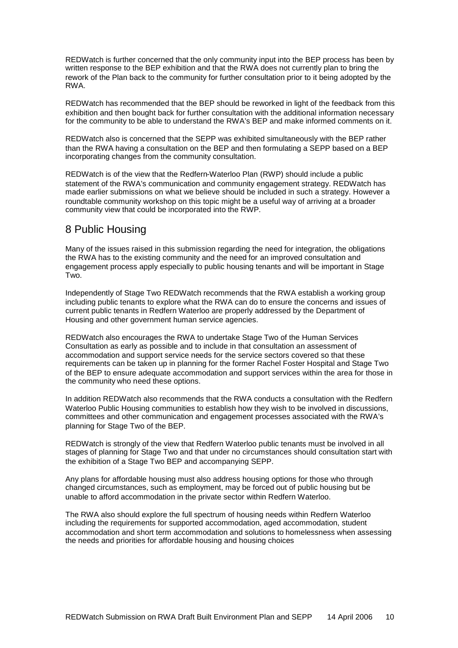REDWatch is further concerned that the only community input into the BEP process has been by written response to the BEP exhibition and that the RWA does not currently plan to bring the rework of the Plan back to the community for further consultation prior to it being adopted by the RWA.

REDWatch has recommended that the BEP should be reworked in light of the feedback from this exhibition and then bought back for further consultation with the additional information necessary for the community to be able to understand the RWA's BEP and make informed comments on it.

REDWatch also is concerned that the SEPP was exhibited simultaneously with the BEP rather than the RWA having a consultation on the BEP and then formulating a SEPP based on a BEP incorporating changes from the community consultation.

REDWatch is of the view that the Redfern-Waterloo Plan (RWP) should include a public statement of the RWA's communication and community engagement strategy. REDWatch has made earlier submissions on what we believe should be included in such a strategy. However a roundtable community workshop on this topic might be a useful way of arriving at a broader community view that could be incorporated into the RWP.

#### 8 Public Housing

Many of the issues raised in this submission regarding the need for integration, the obligations the RWA has to the existing community and the need for an improved consultation and engagement process apply especially to public housing tenants and will be important in Stage Two.

Independently of Stage Two REDWatch recommends that the RWA establish a working group including public tenants to explore what the RWA can do to ensure the concerns and issues of current public tenants in Redfern Waterloo are properly addressed by the Department of Housing and other government human service agencies.

REDWatch also encourages the RWA to undertake Stage Two of the Human Services Consultation as early as possible and to include in that consultation an assessment of accommodation and support service needs for the service sectors covered so that these requirements can be taken up in planning for the former Rachel Foster Hospital and Stage Two of the BEP to ensure adequate accommodation and support services within the area for those in the community who need these options.

In addition REDWatch also recommends that the RWA conducts a consultation with the Redfern Waterloo Public Housing communities to establish how they wish to be involved in discussions, committees and other communication and engagement processes associated with the RWA's planning for Stage Two of the BEP.

REDWatch is strongly of the view that Redfern Waterloo public tenants must be involved in all stages of planning for Stage Two and that under no circumstances should consultation start with the exhibition of a Stage Two BEP and accompanying SEPP.

Any plans for affordable housing must also address housing options for those who through changed circumstances, such as employment, may be forced out of public housing but be unable to afford accommodation in the private sector within Redfern Waterloo.

The RWA also should explore the full spectrum of housing needs within Redfern Waterloo including the requirements for supported accommodation, aged accommodation, student accommodation and short term accommodation and solutions to homelessness when assessing the needs and priorities for affordable housing and housing choices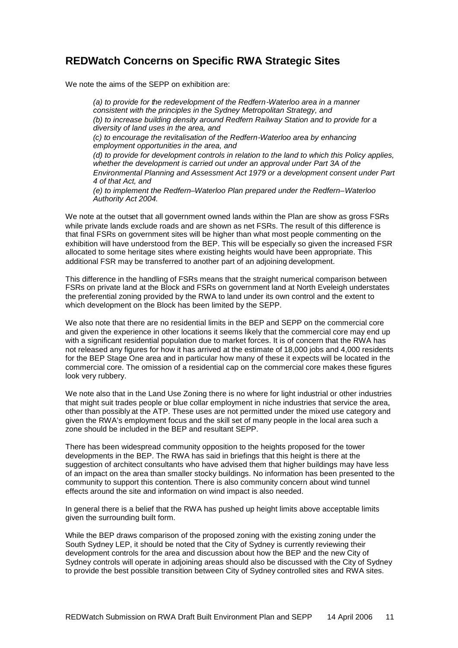### **REDWatch Concerns on Specific RWA Strategic Sites**

We note the aims of the SEPP on exhibition are:

*(a) to provide for the redevelopment of the Redfern-Waterloo area in a manner consistent with the principles in the Sydney Metropolitan Strategy, and (b) to increase building density around Redfern Railway Station and to provide for a diversity of land uses in the area, and (c) to encourage the revitalisation of the Redfern-Waterloo area by enhancing employment opportunities in the area, and (d) to provide for development controls in relation to the land to which this Policy applies, whether the development is carried out under an approval under Part 3A of the Environmental Planning and Assessment Act 1979 or a development consent under Part 4 of that Act, and (e) to implement the Redfern–Waterloo Plan prepared under the Redfern–Waterloo Authority Act 2004.*

We note at the outset that all government owned lands within the Plan are show as gross FSRs while private lands exclude roads and are shown as net FSRs. The result of this difference is that final FSRs on government sites will be higher than what most people commenting on the exhibition will have understood from the BEP. This will be especially so given the increased FSR allocated to some heritage sites where existing heights would have been appropriate. This additional FSR may be transferred to another part of an adjoining development.

This difference in the handling of FSRs means that the straight numerical comparison between FSRs on private land at the Block and FSRs on government land at North Eveleigh understates the preferential zoning provided by the RWA to land under its own control and the extent to which development on the Block has been limited by the SEPP.

We also note that there are no residential limits in the BEP and SEPP on the commercial core and given the experience in other locations it seems likely that the commercial core may end up with a significant residential population due to market forces. It is of concern that the RWA has not released any figures for how it has arrived at the estimate of 18,000 jobs and 4,000 residents for the BEP Stage One area and in particular how many of these it expects will be located in the commercial core. The omission of a residential cap on the commercial core makes these figures look very rubbery.

We note also that in the Land Use Zoning there is no where for light industrial or other industries that might suit trades people or blue collar employment in niche industries that service the area, other than possibly at the ATP. These uses are not permitted under the mixed use category and given the RWA's employment focus and the skill set of many people in the local area such a zone should be included in the BEP and resultant SEPP.

There has been widespread community opposition to the heights proposed for the tower developments in the BEP. The RWA has said in briefings that this height is there at the suggestion of architect consultants who have advised them that higher buildings may have less of an impact on the area than smaller stocky buildings. No information has been presented to the community to support this contention. There is also community concern about wind tunnel effects around the site and information on wind impact is also needed.

In general there is a belief that the RWA has pushed up height limits above acceptable limits given the surrounding built form.

While the BEP draws comparison of the proposed zoning with the existing zoning under the South Sydney LEP, it should be noted that the City of Sydney is currently reviewing their development controls for the area and discussion about how the BEP and the new City of Sydney controls will operate in adjoining areas should also be discussed with the City of Sydney to provide the best possible transition between City of Sydney controlled sites and RWA sites.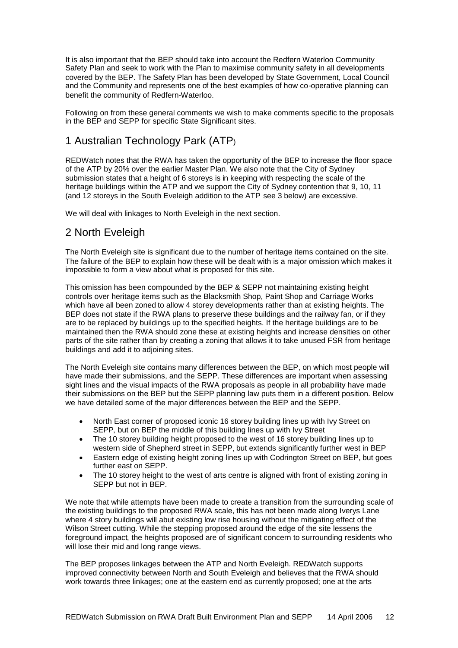It is also important that the BEP should take into account the Redfern Waterloo Community Safety Plan and seek to work with the Plan to maximise community safety in all developments covered by the BEP. The Safety Plan has been developed by State Government, Local Council and the Community and represents one of the best examples of how co-operative planning can benefit the community of Redfern-Waterloo.

Following on from these general comments we wish to make comments specific to the proposals in the BEP and SEPP for specific State Significant sites.

### 1 Australian Technology Park (ATP)

REDWatch notes that the RWA has taken the opportunity of the BEP to increase the floor space of the ATP by 20% over the earlier Master Plan. We also note that the City of Sydney submission states that a height of 6 storeys is in keeping with respecting the scale of the heritage buildings within the ATP and we support the City of Sydney contention that 9, 10, 11 (and 12 storeys in the South Eveleigh addition to the ATP see 3 below) are excessive.

We will deal with linkages to North Eveleigh in the next section.

### 2 North Eveleigh

The North Eveleigh site is significant due to the number of heritage items contained on the site. The failure of the BEP to explain how these will be dealt with is a major omission which makes it impossible to form a view about what is proposed for this site.

This omission has been compounded by the BEP & SEPP not maintaining existing height controls over heritage items such as the Blacksmith Shop, Paint Shop and Carriage Works which have all been zoned to allow 4 storey developments rather than at existing heights. The BEP does not state if the RWA plans to preserve these buildings and the railway fan, or if they are to be replaced by buildings up to the specified heights. If the heritage buildings are to be maintained then the RWA should zone these at existing heights and increase densities on other parts of the site rather than by creating a zoning that allows it to take unused FSR from heritage buildings and add it to adjoining sites.

The North Eveleigh site contains many differences between the BEP, on which most people will have made their submissions, and the SEPP. These differences are important when assessing sight lines and the visual impacts of the RWA proposals as people in all probability have made their submissions on the BEP but the SEPP planning law puts them in a different position. Below we have detailed some of the major differences between the BEP and the SEPP.

- North East corner of proposed iconic 16 storey building lines up with Ivy Street on SEPP, but on BEP the middle of this building lines up with Ivy Street
- The 10 storey building height proposed to the west of 16 storey building lines up to western side of Shepherd street in SEPP, but extends significantly further west in BEP
- Eastern edge of existing height zoning lines up with Codrington Street on BEP, but goes further east on SEPP.
- The 10 storey height to the west of arts centre is aligned with front of existing zoning in SEPP but not in BEP.

We note that while attempts have been made to create a transition from the surrounding scale of the existing buildings to the proposed RWA scale, this has not been made along Iverys Lane where 4 story buildings will abut existing low rise housing without the mitigating effect of the Wilson Street cutting. While the stepping proposed around the edge of the site lessens the foreground impact, the heights proposed are of significant concern to surrounding residents who will lose their mid and long range views.

The BEP proposes linkages between the ATP and North Eveleigh. REDWatch supports improved connectivity between North and South Eveleigh and believes that the RWA should work towards three linkages; one at the eastern end as currently proposed; one at the arts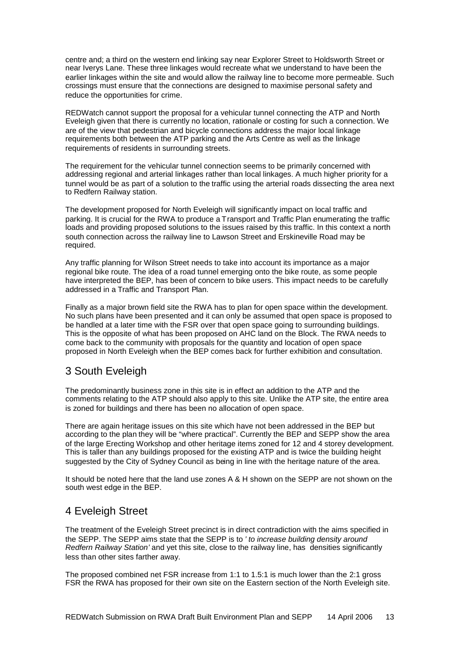centre and; a third on the western end linking say near Explorer Street to Holdsworth Street or near Iverys Lane. These three linkages would recreate what we understand to have been the earlier linkages within the site and would allow the railway line to become more permeable. Such crossings must ensure that the connections are designed to maximise personal safety and reduce the opportunities for crime.

REDWatch cannot support the proposal for a vehicular tunnel connecting the ATP and North Eveleigh given that there is currently no location, rationale or costing for such a connection. We are of the view that pedestrian and bicycle connections address the major local linkage requirements both between the ATP parking and the Arts Centre as well as the linkage requirements of residents in surrounding streets.

The requirement for the vehicular tunnel connection seems to be primarily concerned with addressing regional and arterial linkages rather than local linkages. A much higher priority for a tunnel would be as part of a solution to the traffic using the arterial roads dissecting the area next to Redfern Railway station.

The development proposed for North Eveleigh will significantly impact on local traffic and parking. It is crucial for the RWA to produce a Transport and Traffic Plan enumerating the traffic loads and providing proposed solutions to the issues raised by this traffic. In this context a north south connection across the railway line to Lawson Street and Erskineville Road may be required.

Any traffic planning for Wilson Street needs to take into account its importance as a major regional bike route. The idea of a road tunnel emerging onto the bike route, as some people have interpreted the BEP, has been of concern to bike users. This impact needs to be carefully addressed in a Traffic and Transport Plan.

Finally as a major brown field site the RWA has to plan for open space within the development. No such plans have been presented and it can only be assumed that open space is proposed to be handled at a later time with the FSR over that open space going to surrounding buildings. This is the opposite of what has been proposed on AHC land on the Block. The RWA needs to come back to the community with proposals for the quantity and location of open space proposed in North Eveleigh when the BEP comes back for further exhibition and consultation.

#### 3 South Eveleigh

The predominantly business zone in this site is in effect an addition to the ATP and the comments relating to the ATP should also apply to this site. Unlike the ATP site, the entire area is zoned for buildings and there has been no allocation of open space.

There are again heritage issues on this site which have not been addressed in the BEP but according to the plan they will be "where practical". Currently the BEP and SEPP show the area of the large Erecting Workshop and other heritage items zoned for 12 and 4 storey development. This is taller than any buildings proposed for the existing ATP and is twice the building height suggested by the City of Sydney Council as being in line with the heritage nature of the area.

It should be noted here that the land use zones A & H shown on the SEPP are not shown on the south west edge in the BEP.

### 4 Eveleigh Street

The treatment of the Eveleigh Street precinct is in direct contradiction with the aims specified in the SEPP. The SEPP aims state that the SEPP is to *' to increase building density around Redfern Railway Station'* and yet this site, close to the railway line, has densities significantly less than other sites farther away.

The proposed combined net FSR increase from 1:1 to 1.5:1 is much lower than the 2:1 gross FSR the RWA has proposed for their own site on the Eastern section of the North Eveleigh site.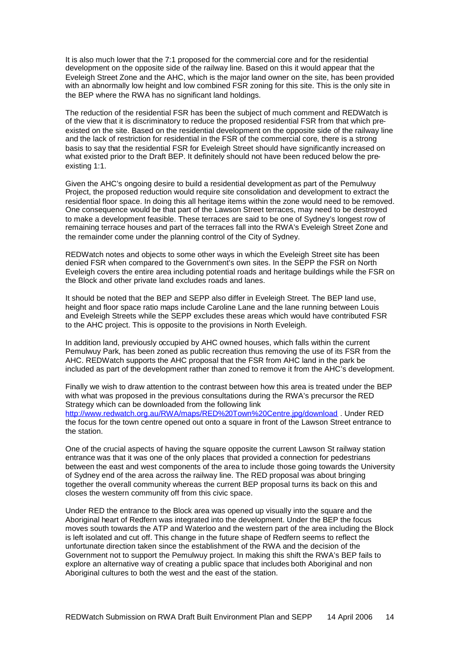It is also much lower that the 7:1 proposed for the commercial core and for the residential development on the opposite side of the railway line. Based on this it would appear that the Eveleigh Street Zone and the AHC, which is the major land owner on the site, has been provided with an abnormally low height and low combined FSR zoning for this site. This is the only site in the BEP where the RWA has no significant land holdings.

The reduction of the residential FSR has been the subject of much comment and REDWatch is of the view that it is discriminatory to reduce the proposed residential FSR from that which preexisted on the site. Based on the residential development on the opposite side of the railway line and the lack of restriction for residential in the FSR of the commercial core, there is a strong basis to say that the residential FSR for Eveleigh Street should have significantly increased on what existed prior to the Draft BEP. It definitely should not have been reduced below the preexisting 1:1.

Given the AHC's ongoing desire to build a residential development as part of the Pemulwuy Project, the proposed reduction would require site consolidation and development to extract the residential floor space. In doing this all heritage items within the zone would need to be removed. One consequence would be that part of the Lawson Street terraces, may need to be destroyed to make a development feasible. These terraces are said to be one of Sydney's longest row of remaining terrace houses and part of the terraces fall into the RWA's Eveleigh Street Zone and the remainder come under the planning control of the City of Sydney.

REDWatch notes and objects to some other ways in which the Eveleigh Street site has been denied FSR when compared to the Government's own sites. In the SEPP the FSR on North Eveleigh covers the entire area including potential roads and heritage buildings while the FSR on the Block and other private land excludes roads and lanes.

It should be noted that the BEP and SEPP also differ in Eveleigh Street. The BEP land use, height and floor space ratio maps include Caroline Lane and the lane running between Louis and Eveleigh Streets while the SEPP excludes these areas which would have contributed FSR to the AHC project. This is opposite to the provisions in North Eveleigh.

In addition land, previously occupied by AHC owned houses, which falls within the current Pemulwuy Park, has been zoned as public recreation thus removing the use of its FSR from the AHC. REDWatch supports the AHC proposal that the FSR from AHC land in the park be included as part of the development rather than zoned to remove it from the AHC's development.

Finally we wish to draw attention to the contrast between how this area is treated under the BEP with what was proposed in the previous consultations during the RWA's precursor the RED Strategy which can be downloaded from the following link http://www.redwatch.org.au/RWA/maps/RED%20Town%20Centre.jpg/download . Under RED the focus for the town centre opened out onto a square in front of the Lawson Street entrance to the station.

One of the crucial aspects of having the square opposite the current Lawson St railway station entrance was that it was one of the only places that provided a connection for pedestrians between the east and west components of the area to include those going towards the University of Sydney end of the area across the railway line. The RED proposal was about bringing together the overall community whereas the current BEP proposal turns its back on this and closes the western community off from this civic space.

Under RED the entrance to the Block area was opened up visually into the square and the Aboriginal heart of Redfern was integrated into the development. Under the BEP the focus moves south towards the ATP and Waterloo and the western part of the area including the Block is left isolated and cut off. This change in the future shape of Redfern seems to reflect the unfortunate direction taken since the establishment of the RWA and the decision of the Government not to support the Pemulwuy project. In making this shift the RWA's BEP fails to explore an alternative way of creating a public space that includes both Aboriginal and non Aboriginal cultures to both the west and the east of the station.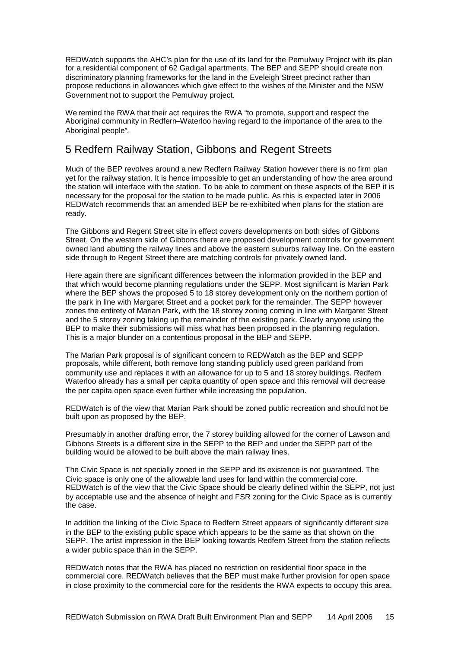REDWatch supports the AHC's plan for the use of its land for the Pemulwuy Project with its plan for a residential component of 62 Gadigal apartments. The BEP and SEPP should create non discriminatory planning frameworks for the land in the Eveleigh Street precinct rather than propose reductions in allowances which give effect to the wishes of the Minister and the NSW Government not to support the Pemulwuy project.

We remind the RWA that their act requires the RWA "to promote, support and respect the Aboriginal community in Redfern–Waterloo having regard to the importance of the area to the Aboriginal people".

#### 5 Redfern Railway Station, Gibbons and Regent Streets

Much of the BEP revolves around a new Redfern Railway Station however there is no firm plan yet for the railway station. It is hence impossible to get an understanding of how the area around the station will interface with the station. To be able to comment on these aspects of the BEP it is necessary for the proposal for the station to be made public. As this is expected later in 2006 REDWatch recommends that an amended BEP be re-exhibited when plans for the station are ready.

The Gibbons and Regent Street site in effect covers developments on both sides of Gibbons Street. On the western side of Gibbons there are proposed development controls for government owned land abutting the railway lines and above the eastern suburbs railway line. On the eastern side through to Regent Street there are matching controls for privately owned land.

Here again there are significant differences between the information provided in the BEP and that which would become planning regulations under the SEPP. Most significant is Marian Park where the BEP shows the proposed 5 to 18 storey development only on the northern portion of the park in line with Margaret Street and a pocket park for the remainder. The SEPP however zones the entirety of Marian Park, with the 18 storey zoning coming in line with Margaret Street and the 5 storey zoning taking up the remainder of the existing park. Clearly anyone using the BEP to make their submissions will miss what has been proposed in the planning regulation. This is a major blunder on a contentious proposal in the BEP and SEPP.

The Marian Park proposal is of significant concern to REDWatch as the BEP and SEPP proposals, while different, both remove long standing publicly used green parkland from community use and replaces it with an allowance for up to 5 and 18 storey buildings. Redfern Waterloo already has a small per capita quantity of open space and this removal will decrease the per capita open space even further while increasing the population.

REDWatch is of the view that Marian Park should be zoned public recreation and should not be built upon as proposed by the BEP.

Presumably in another drafting error, the 7 storey building allowed for the corner of Lawson and Gibbons Streets is a different size in the SEPP to the BEP and under the SEPP part of the building would be allowed to be built above the main railway lines.

The Civic Space is not specially zoned in the SEPP and its existence is not guaranteed. The Civic space is only one of the allowable land uses for land within the commercial core. REDWatch is of the view that the Civic Space should be clearly defined within the SEPP, not just by acceptable use and the absence of height and FSR zoning for the Civic Space as is currently the case.

In addition the linking of the Civic Space to Redfern Street appears of significantly different size in the BEP to the existing public space which appears to be the same as that shown on the SEPP. The artist impression in the BEP looking towards Redfern Street from the station reflects a wider public space than in the SEPP.

REDWatch notes that the RWA has placed no restriction on residential floor space in the commercial core. REDWatch believes that the BEP must make further provision for open space in close proximity to the commercial core for the residents the RWA expects to occupy this area.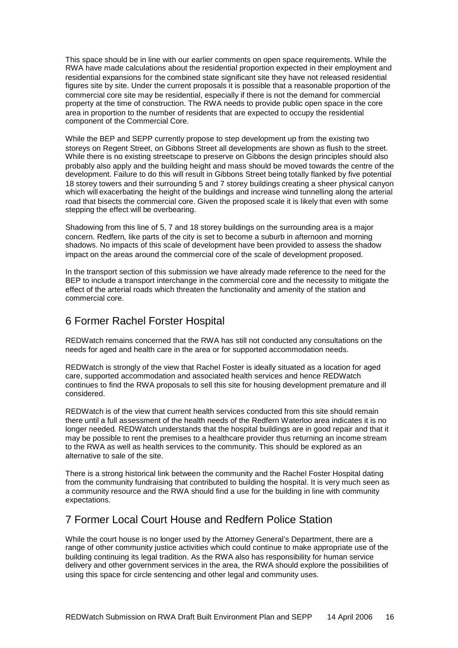This space should be in line with our earlier comments on open space requirements. While the RWA have made calculations about the residential proportion expected in their employment and residential expansions for the combined state significant site they have not released residential figures site by site. Under the current proposals it is possible that a reasonable proportion of the commercial core site may be residential, especially if there is not the demand for commercial property at the time of construction. The RWA needs to provide public open space in the core area in proportion to the number of residents that are expected to occupy the residential component of the Commercial Core.

While the BEP and SEPP currently propose to step development up from the existing two storeys on Regent Street, on Gibbons Street all developments are shown as flush to the street. While there is no existing streetscape to preserve on Gibbons the design principles should also probably also apply and the building height and mass should be moved towards the centre of the development. Failure to do this will result in Gibbons Street being totally flanked by five potential 18 storey towers and their surrounding 5 and 7 storey buildings creating a sheer physical canyon which will exacerbating the height of the buildings and increase wind tunnelling along the arterial road that bisects the commercial core. Given the proposed scale it is likely that even with some stepping the effect will be overbearing.

Shadowing from this line of 5, 7 and 18 storey buildings on the surrounding area is a major concern. Redfern, like parts of the city is set to become a suburb in afternoon and morning shadows. No impacts of this scale of development have been provided to assess the shadow impact on the areas around the commercial core of the scale of development proposed.

In the transport section of this submission we have already made reference to the need for the BEP to include a transport interchange in the commercial core and the necessity to mitigate the effect of the arterial roads which threaten the functionality and amenity of the station and commercial core.

### 6 Former Rachel Forster Hospital

REDWatch remains concerned that the RWA has still not conducted any consultations on the needs for aged and health care in the area or for supported accommodation needs.

REDWatch is strongly of the view that Rachel Foster is ideally situated as a location for aged care, supported accommodation and associated health services and hence REDWatch continues to find the RWA proposals to sell this site for housing development premature and ill considered.

REDWatch is of the view that current health services conducted from this site should remain there until a full assessment of the health needs of the Redfern Waterloo area indicates it is no longer needed. REDWatch understands that the hospital buildings are in good repair and that it may be possible to rent the premises to a healthcare provider thus returning an income stream to the RWA as well as health services to the community. This should be explored as an alternative to sale of the site.

There is a strong historical link between the community and the Rachel Foster Hospital dating from the community fundraising that contributed to building the hospital. It is very much seen as a community resource and the RWA should find a use for the building in line with community expectations.

#### 7 Former Local Court House and Redfern Police Station

While the court house is no longer used by the Attorney General's Department, there are a range of other community justice activities which could continue to make appropriate use of the building continuing its legal tradition. As the RWA also has responsibility for human service delivery and other government services in the area, the RWA should explore the possibilities of using this space for circle sentencing and other legal and community uses.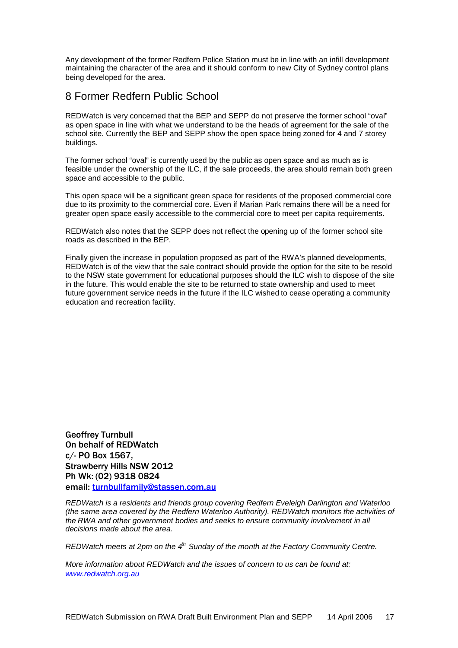Any development of the former Redfern Police Station must be in line with an infill development maintaining the character of the area and it should conform to new City of Sydney control plans being developed for the area.

#### 8 Former Redfern Public School

REDWatch is very concerned that the BEP and SEPP do not preserve the former school "oval" as open space in line with what we understand to be the heads of agreement for the sale of the school site. Currently the BEP and SEPP show the open space being zoned for 4 and 7 storey buildings.

The former school "oval" is currently used by the public as open space and as much as is feasible under the ownership of the ILC, if the sale proceeds, the area should remain both green space and accessible to the public.

This open space will be a significant green space for residents of the proposed commercial core due to its proximity to the commercial core. Even if Marian Park remains there will be a need for greater open space easily accessible to the commercial core to meet per capita requirements.

REDWatch also notes that the SEPP does not reflect the opening up of the former school site roads as described in the BEP.

Finally given the increase in population proposed as part of the RWA's planned developments, REDWatch is of the view that the sale contract should provide the option for the site to be resold to the NSW state government for educational purposes should the ILC wish to dispose of the site in the future. This would enable the site to be returned to state ownership and used to meet future government service needs in the future if the ILC wished to cease operating a community education and recreation facility.

Geoffrey Turnbull On behalf of REDWatch c/- PO Box 1567, Strawberry Hills NSW 2012 Ph Wk: (02) 9318 0824 email: turnbullfamily@stassen.com.au

*REDWatch is a residents and friends group covering Redfern Eveleigh Darlington and Waterloo (the same area covered by the Redfern Waterloo Authority). REDWatch monitors the activities of the RWA and other government bodies and seeks to ensure community involvement in all decisions made about the area.*

*REDWatch meets at 2pm on the 4th Sunday of the month at the Factory Community Centre.*

*More information about REDWatch and the issues of concern to us can be found at: www.redwatch.org.au*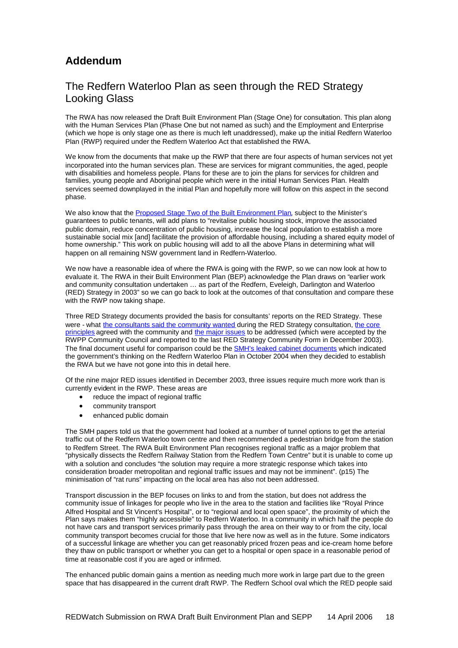### **Addendum**

#### The Redfern Waterloo Plan as seen through the RED Strategy Looking Glass

The RWA has now released the Draft Built Environment Plan (Stage One) for consultation. This plan along with the Human Services Plan (Phase One but not named as such) and the Employment and Enterprise (which we hope is only stage one as there is much left unaddressed), make up the initial Redfern Waterloo Plan (RWP) required under the Redfern Waterloo Act that established the RWA.

We know from the documents that make up the RWP that there are four aspects of human services not yet incorporated into the human services plan. These are services for migrant communities, the aged, people with disabilities and homeless people. Plans for these are to join the plans for services for children and families, young people and Aboriginal people which were in the initial Human Services Plan. Health services seemed downplayed in the initial Plan and hopefully more will follow on this aspect in the second phase.

We also know that the Proposed Stage Two of the Built Environment Plan, subject to the Minister's guarantees to public tenants, will add plans to "revitalise public housing stock, improve the associated public domain, reduce concentration of public housing, increase the local population to establish a more sustainable social mix [and] facilitate the provision of affordable housing, including a shared equity model of home ownership." This work on public housing will add to all the above Plans in determining what will happen on all remaining NSW government land in Redfern-Waterloo.

We now have a reasonable idea of where the RWA is going with the RWP, so we can now look at how to evaluate it. The RWA in their Built Environment Plan (BEP) acknowledge the Plan draws on "earlier work and community consultation undertaken ... as part of the Redfern, Eveleigh, Darlington and Waterloo (RED) Strategy in 2003" so we can go back to look at the outcomes of that consultation and compare these with the RWP now taking shape.

Three RED Strategy documents provided the basis for consultants' reports on the RED Strategy. These were - what the consultants said the community wanted during the RED Strategy consultation, the core principles agreed with the community and the major issues to be addressed (which were accepted by the principles RWPP Community Council and reported to the last RED Strategy Community Form in December 2003). The final document useful for comparison could be the **SMH's leaked cabinet documents** which indicated the government's thinking on the Redfern Waterloo Plan in October 2004 when they decided to establish the RWA but we have not gone into this in detail here.

Of the nine major RED issues identified in December 2003, three issues require much more work than is currently evident in the RWP. These areas are

- reduce the impact of regional traffic
- community transport
- enhanced public domain

The SMH papers told us that the government had looked at a number of tunnel options to get the arterial traffic out of the Redfern Waterloo town centre and then recommended a pedestrian bridge from the station to Redfern Street. The RWA Built Environment Plan recognises regional traffic as a major problem that "physically dissects the Redfern Railway Station from the Redfern Town Centre" but it is unable to come up with a solution and concludes "the solution may require a more strategic response which takes into consideration broader metropolitan and regional traffic issues and may not be imminent". (p15) The minimisation of "rat runs" impacting on the local area has also not been addressed.

Transport discussion in the BEP focuses on links to and from the station, but does not address the community issue of linkages for people who live in the area to the station and facilities like "Royal Prince Alfred Hospital and St Vincent's Hospital", or to "regional and local open space", the proximity of which the Plan says makes them "highly accessible" to Redfern Waterloo. In a community in which half the people do not have cars and transport services primarily pass through the area on their way to or from the city, local community transport becomes crucial for those that live here now as well as in the future. Some indicators of a successful linkage are whether you can get reasonably priced frozen peas and ice-cream home before they thaw on public transport or whether you can get to a hospital or open space in a reasonable period of time at reasonable cost if you are aged or infirmed.

The enhanced public domain gains a mention as needing much more work in large part due to the green space that has disappeared in the current draft RWP. The Redfern School oval which the RED people said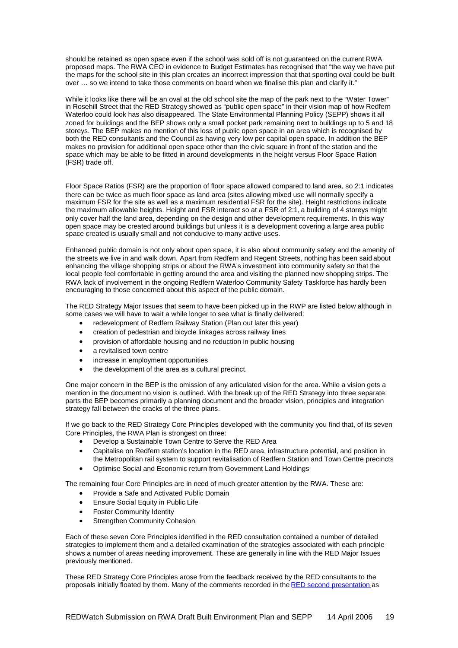should be retained as open space even if the school was sold off is not guaranteed on the current RWA proposed maps. The RWA CEO in evidence to Budget Estimates has recognised that "the way we have put the maps for the school site in this plan creates an incorrect impression that that sporting oval could be built over … so we intend to take those comments on board when we finalise this plan and clarify it."

While it looks like there will be an oval at the old school site the map of the park next to the "Water Tower" in Rosehill Street that the RED Strategy showed as "public open space" in their vision map of how Redfern Waterloo could look has also disappeared. The State Environmental Planning Policy (SEPP) shows it all zoned for buildings and the BEP shows only a small pocket park remaining next to buildings up to 5 and 18 storeys. The BEP makes no mention of this loss of public open space in an area which is recognised by both the RED consultants and the Council as having very low per capital open space. In addition the BEP makes no provision for additional open space other than the civic square in front of the station and the space which may be able to be fitted in around developments in the height versus Floor Space Ration (FSR) trade off.

Floor Space Ratios (FSR) are the proportion of floor space allowed compared to land area, so 2:1 indicates there can be twice as much floor space as land area (sites allowing mixed use will normally specify a maximum FSR for the site as well as a maximum residential FSR for the site). Height restrictions indicate the maximum allowable heights. Height and FSR interact so at a FSR of 2:1, a building of 4 storeys might only cover half the land area, depending on the design and other development requirements. In this way open space may be created around buildings but unless it is a development covering a large area public space created is usually small and not conducive to many active uses.

Enhanced public domain is not only about open space, it is also about community safety and the amenity of the streets we live in and walk down. Apart from Redfern and Regent Streets, nothing has been said about enhancing the village shopping strips or about the RWA's investment into community safety so that the local people feel comfortable in getting around the area and visiting the planned new shopping strips. The RWA lack of involvement in the ongoing Redfern Waterloo Community Safety Taskforce has hardly been encouraging to those concerned about this aspect of the public domain.

The RED Strategy Major Issues that seem to have been picked up in the RWP are listed below although in some cases we will have to wait a while longer to see what is finally delivered:

- redevelopment of Redfern Railway Station (Plan out later this year)
- creation of pedestrian and bicycle linkages across railway lines
- provision of affordable housing and no reduction in public housing
- a revitalised town centre
- increase in employment opportunities
- the development of the area as a cultural precinct.

One major concern in the BEP is the omission of any articulated vision for the area. While a vision gets a mention in the document no vision is outlined. With the break up of the RED Strategy into three separate parts the BEP becomes primarily a planning document and the broader vision, principles and integration strategy fall between the cracks of the three plans.

If we go back to the RED Strategy Core Principles developed with the community you find that, of its seven Core Principles, the RWA Plan is strongest on three:

- Develop a Sustainable Town Centre to Serve the RED Area
- Capitalise on Redfern station's location in the RED area, infrastructure potential, and position in the Metropolitan rail system to support revitalisation of Redfern Station and Town Centre precincts
- Optimise Social and Economic return from Government Land Holdings

The remaining four Core Principles are in need of much greater attention by the RWA. These are:

- Provide a Safe and Activated Public Domain
- **•** Ensure Social Equity in Public Life
- Foster Community Identity
- Strengthen Community Cohesion

Each of these seven Core Principles identified in the RED consultation contained a number of detailed strategies to implement them and a detailed examination of the strategies associated with each principle shows a number of areas needing improvement. These are generally in line with the RED Major Issues previously mentioned.

These RED Strategy Core Principles arose from the feedback received by the RED consultants to the proposals initially floated by them. Many of the comments recorded in the RED second presentation as